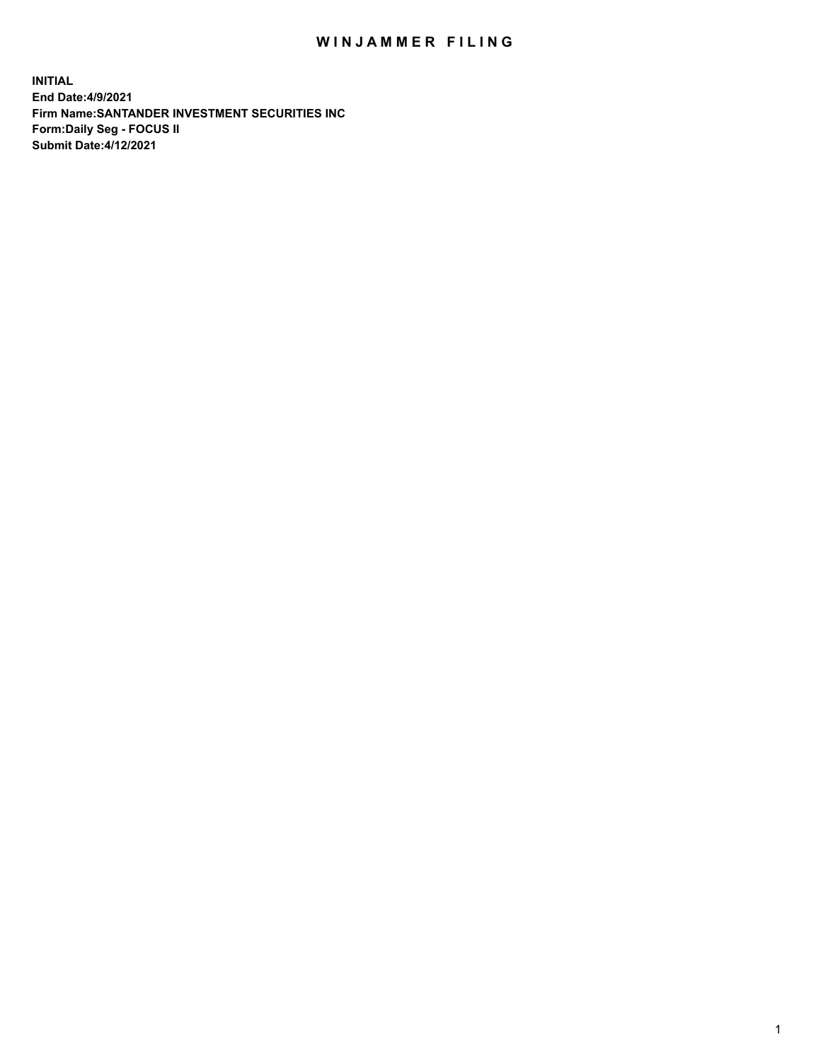## WIN JAMMER FILING

**INITIAL End Date:4/9/2021 Firm Name:SANTANDER INVESTMENT SECURITIES INC Form:Daily Seg - FOCUS II Submit Date:4/12/2021**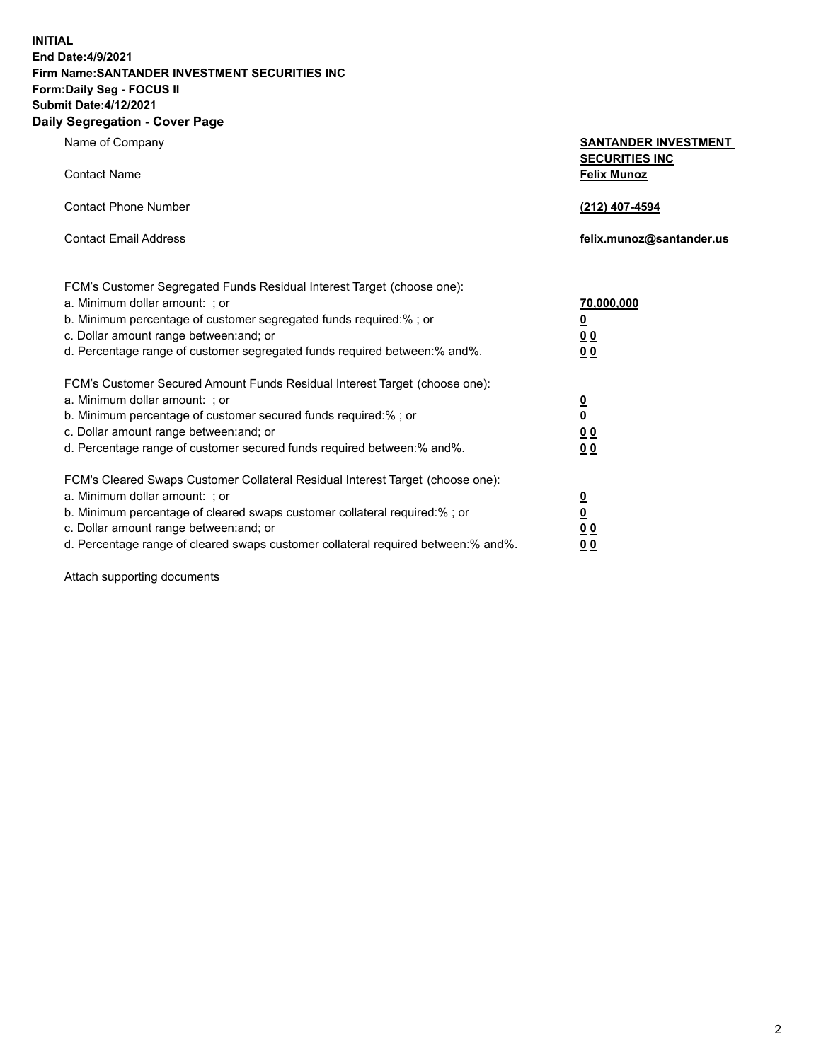**INITIAL End Date:4/9/2021 Firm Name:SANTANDER INVESTMENT SECURITIES INC Form:Daily Seg - FOCUS II Submit Date:4/12/2021 Daily Segregation - Cover Page**

| Name of Company<br><b>Contact Name</b>                                                                                                                                                                                                                                                                 | <b>SANTANDER INVESTMENT</b><br><b>SECURITIES INC</b><br><b>Felix Munoz</b> |
|--------------------------------------------------------------------------------------------------------------------------------------------------------------------------------------------------------------------------------------------------------------------------------------------------------|----------------------------------------------------------------------------|
| <b>Contact Phone Number</b><br><b>Contact Email Address</b>                                                                                                                                                                                                                                            | (212) 407-4594<br>felix.munoz@santander.us                                 |
| FCM's Customer Segregated Funds Residual Interest Target (choose one):<br>a. Minimum dollar amount: ; or<br>b. Minimum percentage of customer segregated funds required:% ; or<br>c. Dollar amount range between: and; or<br>d. Percentage range of customer segregated funds required between:% and%. | 70,000,000<br>$\overline{\mathbf{0}}$<br>0 <sub>0</sub><br>0 <sub>0</sub>  |
| FCM's Customer Secured Amount Funds Residual Interest Target (choose one):<br>a. Minimum dollar amount: ; or<br>b. Minimum percentage of customer secured funds required:%; or<br>c. Dollar amount range between: and; or<br>d. Percentage range of customer secured funds required between:% and%.    | $\frac{0}{0}$<br>0 <sub>0</sub><br>0 <sub>0</sub>                          |
| FCM's Cleared Swaps Customer Collateral Residual Interest Target (choose one):<br>a. Minimum dollar amount: ; or<br>b. Minimum percentage of cleared swaps customer collateral required:% ; or<br>c. Dollar amount range between: and; or                                                              | $\overline{\mathbf{0}}$<br>$\overline{\mathbf{0}}$<br>0 <sub>0</sub>       |

d. Percentage range of cleared swaps customer collateral required between:% and%. **0 0**

Attach supporting documents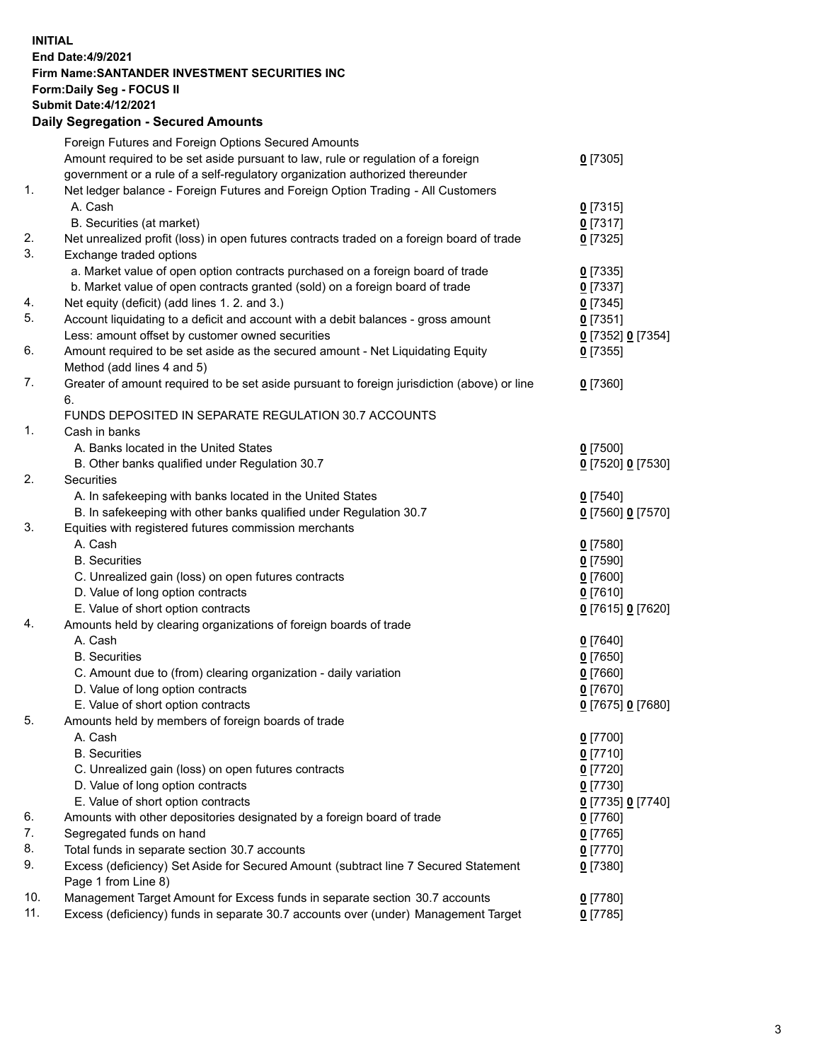## **INITIAL End Date:4/9/2021 Firm Name:SANTANDER INVESTMENT SECURITIES INC Form:Daily Seg - FOCUS II Submit Date:4/12/2021 Daily Segregation - Secured Amounts**

|     | Foreign Futures and Foreign Options Secured Amounts                                         |                   |
|-----|---------------------------------------------------------------------------------------------|-------------------|
|     | Amount required to be set aside pursuant to law, rule or regulation of a foreign            | $0$ [7305]        |
|     | government or a rule of a self-regulatory organization authorized thereunder                |                   |
| 1.  | Net ledger balance - Foreign Futures and Foreign Option Trading - All Customers             |                   |
|     | A. Cash                                                                                     | $0$ [7315]        |
|     | B. Securities (at market)                                                                   | 0[7317]           |
| 2.  | Net unrealized profit (loss) in open futures contracts traded on a foreign board of trade   | $0$ [7325]        |
| 3.  | Exchange traded options                                                                     |                   |
|     | a. Market value of open option contracts purchased on a foreign board of trade              | $0$ [7335]        |
|     | b. Market value of open contracts granted (sold) on a foreign board of trade                | $0$ [7337]        |
| 4.  | Net equity (deficit) (add lines 1. 2. and 3.)                                               | $0$ [7345]        |
| 5.  | Account liquidating to a deficit and account with a debit balances - gross amount           | $0$ [7351]        |
|     | Less: amount offset by customer owned securities                                            | 0 [7352] 0 [7354] |
| 6.  | Amount required to be set aside as the secured amount - Net Liquidating Equity              | $0$ [7355]        |
|     | Method (add lines 4 and 5)                                                                  |                   |
| 7.  | Greater of amount required to be set aside pursuant to foreign jurisdiction (above) or line | $0$ [7360]        |
|     | 6.                                                                                          |                   |
|     | FUNDS DEPOSITED IN SEPARATE REGULATION 30.7 ACCOUNTS                                        |                   |
| 1.  | Cash in banks                                                                               |                   |
|     | A. Banks located in the United States                                                       | $0$ [7500]        |
|     | B. Other banks qualified under Regulation 30.7                                              | 0 [7520] 0 [7530] |
| 2.  | <b>Securities</b>                                                                           |                   |
|     | A. In safekeeping with banks located in the United States                                   | $0$ [7540]        |
|     | B. In safekeeping with other banks qualified under Regulation 30.7                          | 0 [7560] 0 [7570] |
| 3.  | Equities with registered futures commission merchants                                       |                   |
|     | A. Cash                                                                                     | $0$ [7580]        |
|     | <b>B.</b> Securities                                                                        | $0$ [7590]        |
|     | C. Unrealized gain (loss) on open futures contracts                                         | $0$ [7600]        |
|     | D. Value of long option contracts                                                           | $0$ [7610]        |
|     | E. Value of short option contracts                                                          | 0 [7615] 0 [7620] |
| 4.  | Amounts held by clearing organizations of foreign boards of trade                           |                   |
|     | A. Cash                                                                                     | $0$ [7640]        |
|     | <b>B.</b> Securities                                                                        | $0$ [7650]        |
|     | C. Amount due to (from) clearing organization - daily variation                             | $0$ [7660]        |
|     | D. Value of long option contracts                                                           | $0$ [7670]        |
|     | E. Value of short option contracts                                                          | 0 [7675] 0 [7680] |
| 5.  | Amounts held by members of foreign boards of trade                                          |                   |
|     | A. Cash                                                                                     | $0$ [7700]        |
|     | <b>B.</b> Securities                                                                        | $0$ [7710]        |
|     | C. Unrealized gain (loss) on open futures contracts                                         | $0$ [7720]        |
|     | D. Value of long option contracts                                                           | $0$ [7730]        |
|     | E. Value of short option contracts                                                          | 0 [7735] 0 [7740] |
| 6.  | Amounts with other depositories designated by a foreign board of trade                      | $0$ [7760]        |
| 7.  | Segregated funds on hand                                                                    | $0$ [7765]        |
| 8.  | Total funds in separate section 30.7 accounts                                               | $0$ [7770]        |
| 9.  | Excess (deficiency) Set Aside for Secured Amount (subtract line 7 Secured Statement         | $0$ [7380]        |
|     | Page 1 from Line 8)                                                                         |                   |
| 10. | Management Target Amount for Excess funds in separate section 30.7 accounts                 | $0$ [7780]        |
| 11. | Excess (deficiency) funds in separate 30.7 accounts over (under) Management Target          | $0$ [7785]        |
|     |                                                                                             |                   |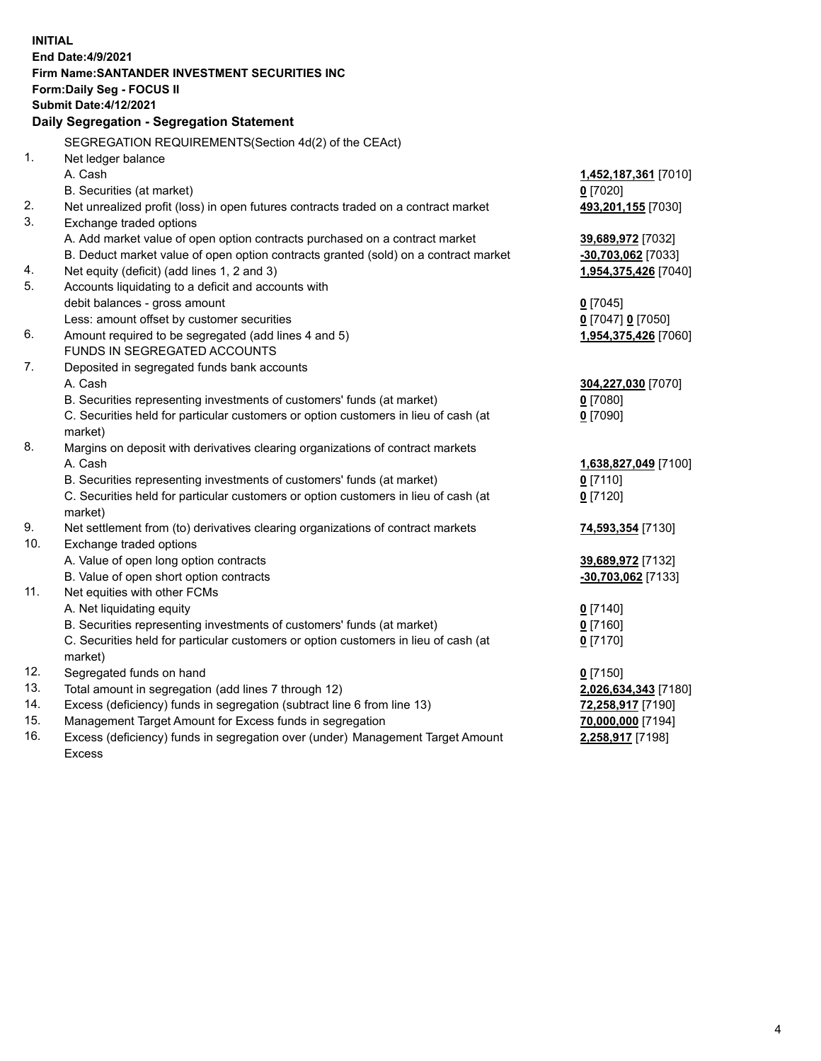| <b>INITIAL</b> | End Date: 4/9/2021<br>Firm Name: SANTANDER INVESTMENT SECURITIES INC<br>Form: Daily Seg - FOCUS II<br><b>Submit Date: 4/12/2021</b><br>Daily Segregation - Segregation Statement |                      |
|----------------|----------------------------------------------------------------------------------------------------------------------------------------------------------------------------------|----------------------|
|                | SEGREGATION REQUIREMENTS(Section 4d(2) of the CEAct)                                                                                                                             |                      |
| 1.             | Net ledger balance                                                                                                                                                               |                      |
|                | A. Cash                                                                                                                                                                          | 1,452,187,361 [7010] |
|                | B. Securities (at market)                                                                                                                                                        | $0$ [7020]           |
| 2.             | Net unrealized profit (loss) in open futures contracts traded on a contract market                                                                                               | 493,201,155 [7030]   |
| 3.             | Exchange traded options                                                                                                                                                          |                      |
|                | A. Add market value of open option contracts purchased on a contract market                                                                                                      | 39,689,972 [7032]    |
|                | B. Deduct market value of open option contracts granted (sold) on a contract market                                                                                              | $-30,703,062$ [7033] |
| 4.             | Net equity (deficit) (add lines 1, 2 and 3)                                                                                                                                      | 1,954,375,426 [7040] |
| 5.             | Accounts liquidating to a deficit and accounts with                                                                                                                              |                      |
|                | debit balances - gross amount                                                                                                                                                    | $0$ [7045]           |
|                | Less: amount offset by customer securities                                                                                                                                       | 0 [7047] 0 [7050]    |
| 6.             | Amount required to be segregated (add lines 4 and 5)                                                                                                                             | 1,954,375,426 [7060] |
|                | FUNDS IN SEGREGATED ACCOUNTS                                                                                                                                                     |                      |
| 7.             | Deposited in segregated funds bank accounts                                                                                                                                      |                      |
|                | A. Cash                                                                                                                                                                          | 304,227,030 [7070]   |
|                | B. Securities representing investments of customers' funds (at market)                                                                                                           | 0 [7080]             |
|                | C. Securities held for particular customers or option customers in lieu of cash (at                                                                                              | $0$ [7090]           |
| 8.             | market)<br>Margins on deposit with derivatives clearing organizations of contract markets                                                                                        |                      |
|                | A. Cash                                                                                                                                                                          | 1,638,827,049 [7100] |
|                | B. Securities representing investments of customers' funds (at market)                                                                                                           | $0$ [7110]           |
|                | C. Securities held for particular customers or option customers in lieu of cash (at                                                                                              | $0$ [7120]           |
|                | market)                                                                                                                                                                          |                      |
| 9.             | Net settlement from (to) derivatives clearing organizations of contract markets                                                                                                  | 74,593,354 [7130]    |
| 10.            | Exchange traded options                                                                                                                                                          |                      |
|                | A. Value of open long option contracts                                                                                                                                           | 39,689,972 [7132]    |
|                | B. Value of open short option contracts                                                                                                                                          | $-30,703,062$ [7133] |
| 11.            | Net equities with other FCMs                                                                                                                                                     |                      |
|                | A. Net liquidating equity                                                                                                                                                        | $0$ [7140]           |
|                | B. Securities representing investments of customers' funds (at market)                                                                                                           | $0$ [7160]           |
|                | C. Securities held for particular customers or option customers in lieu of cash (at                                                                                              | $0$ [7170]           |
|                | market)                                                                                                                                                                          |                      |
| 12.            | Segregated funds on hand                                                                                                                                                         | $0$ [7150]           |
| 13.            | Total amount in segregation (add lines 7 through 12)                                                                                                                             | 2,026,634,343 [7180] |
| 14.            | Excess (deficiency) funds in segregation (subtract line 6 from line 13)                                                                                                          | 72,258,917 [7190]    |
| 15.            | Management Target Amount for Excess funds in segregation                                                                                                                         | 70,000,000 [7194]    |
| 16.            | Excess (deficiency) funds in segregation over (under) Management Target Amount                                                                                                   | 2,258,917 [7198]     |
|                | Excess                                                                                                                                                                           |                      |